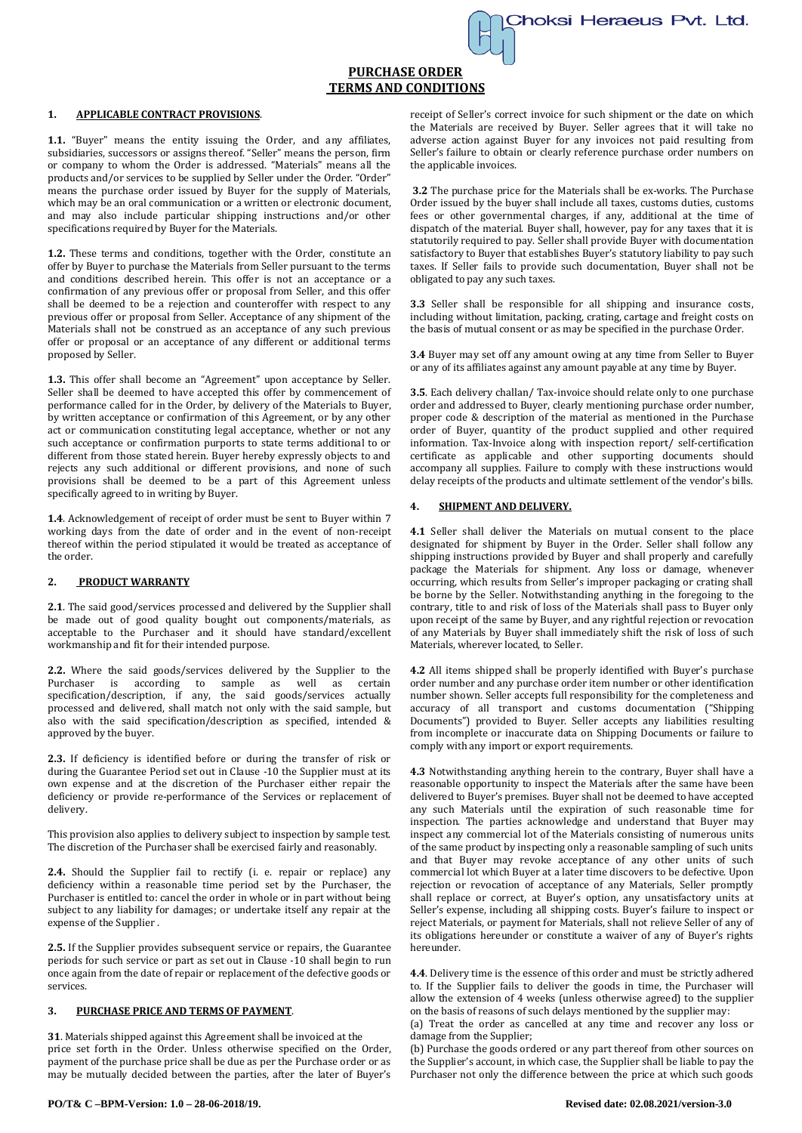

# **PURCHASE ORDER TERMS AND CONDITIONS**

## **1. APPLICABLE CONTRACT PROVISIONS**.

**1.1.** "Buyer" means the entity issuing the Order, and any affiliates, subsidiaries, successors or assigns thereof. "Seller" means the person, firm or company to whom the Order is addressed. "Materials" means all the products and/or services to be supplied by Seller under the Order. "Order" means the purchase order issued by Buyer for the supply of Materials, which may be an oral communication or a written or electronic document, and may also include particular shipping instructions and/or other specifications required by Buyer for the Materials.

**1.2.** These terms and conditions, together with the Order, constitute an offer by Buyer to purchase the Materials from Seller pursuant to the terms and conditions described herein. This offer is not an acceptance or a confirmation of any previous offer or proposal from Seller, and this offer shall be deemed to be a rejection and counteroffer with respect to any previous offer or proposal from Seller. Acceptance of any shipment of the Materials shall not be construed as an acceptance of any such previous offer or proposal or an acceptance of any different or additional terms proposed by Seller.

**1.3.** This offer shall become an "Agreement" upon acceptance by Seller. Seller shall be deemed to have accepted this offer by commencement of performance called for in the Order, by delivery of the Materials to Buyer, by written acceptance or confirmation of this Agreement, or by any other act or communication constituting legal acceptance, whether or not any such acceptance or confirmation purports to state terms additional to or different from those stated herein. Buyer hereby expressly objects to and rejects any such additional or different provisions, and none of such provisions shall be deemed to be a part of this Agreement unless specifically agreed to in writing by Buyer.

**1.4**. Acknowledgement of receipt of order must be sent to Buyer within 7 working days from the date of order and in the event of non-receipt thereof within the period stipulated it would be treated as acceptance of the order.

# **2. PRODUCT WARRANTY**

**2.1**. The said good/services processed and delivered by the Supplier shall be made out of good quality bought out components/materials, as acceptable to the Purchaser and it should have standard/excellent workmanship and fit for their intended purpose.

**2.2.** Where the said goods/services delivered by the Supplier to the Purchaser is according to sample as well as certain specification/description, if any, the said goods/services actually processed and delivered, shall match not only with the said sample, but also with the said specification/description as specified, intended & approved by the buyer.

**2.3.** If deficiency is identified before or during the transfer of risk or during the Guarantee Period set out in Clause -10 the Supplier must at its own expense and at the discretion of the Purchaser either repair the deficiency or provide re-performance of the Services or replacement of delivery.

This provision also applies to delivery subject to inspection by sample test. The discretion of the Purchaser shall be exercised fairly and reasonably.

2.4. Should the Supplier fail to rectify (i. e. repair or replace) any deficiency within a reasonable time period set by the Purchaser, the Purchaser is entitled to: cancel the order in whole or in part without being subject to any liability for damages; or undertake itself any repair at the expense of the Supplier .

**2.5.** If the Supplier provides subsequent service or repairs, the Guarantee periods for such service or part as set out in Clause -10 shall begin to run once again from the date of repair or replacement of the defective goods or services.

#### **3. PURCHASE PRICE AND TERMS OF PAYMENT**.

**31**. Materials shipped against this Agreement shall be invoiced at the price set forth in the Order. Unless otherwise specified on the Order, payment of the purchase price shall be due as per the Purchase order or as may be mutually decided between the parties, after the later of Buyer's

receipt of Seller's correct invoice for such shipment or the date on which the Materials are received by Buyer. Seller agrees that it will take no adverse action against Buyer for any invoices not paid resulting from Seller's failure to obtain or clearly reference purchase order numbers on the applicable invoices.

**3.2** The purchase price for the Materials shall be ex-works. The Purchase Order issued by the buyer shall include all taxes, customs duties, customs fees or other governmental charges, if any, additional at the time of dispatch of the material. Buyer shall, however, pay for any taxes that it is statutorily required to pay. Seller shall provide Buyer with documentation satisfactory to Buyer that establishes Buyer's statutory liability to pay such taxes. If Seller fails to provide such documentation, Buyer shall not be obligated to pay any such taxes.

**3.3** Seller shall be responsible for all shipping and insurance costs, including without limitation, packing, crating, cartage and freight costs on the basis of mutual consent or as may be specified in the purchase Order.

**3.4** Buyer may set off any amount owing at any time from Seller to Buyer or any of its affiliates against any amount payable at any time by Buyer.

**3.5**. Each delivery challan/ Tax-invoice should relate only to one purchase order and addressed to Buyer, clearly mentioning purchase order number, proper code & description of the material as mentioned in the Purchase order of Buyer, quantity of the product supplied and other required information. Tax-Invoice along with inspection report/ self-certification certificate as applicable and other supporting documents should accompany all supplies. Failure to comply with these instructions would delay receipts of the products and ultimate settlement of the vendor's bills.

## **4. SHIPMENT AND DELIVERY.**

**4.1** Seller shall deliver the Materials on mutual consent to the place designated for shipment by Buyer in the Order. Seller shall follow any shipping instructions provided by Buyer and shall properly and carefully package the Materials for shipment. Any loss or damage, whenever occurring, which results from Seller's improper packaging or crating shall be borne by the Seller. Notwithstanding anything in the foregoing to the contrary, title to and risk of loss of the Materials shall pass to Buyer only upon receipt of the same by Buyer, and any rightful rejection or revocation of any Materials by Buyer shall immediately shift the risk of loss of such Materials, wherever located, to Seller.

**4.2** All items shipped shall be properly identified with Buyer's purchase order number and any purchase order item number or other identification number shown. Seller accepts full responsibility for the completeness and accuracy of all transport and customs documentation ("Shipping Documents") provided to Buyer. Seller accepts any liabilities resulting from incomplete or inaccurate data on Shipping Documents or failure to comply with any import or export requirements.

**4.3** Notwithstanding anything herein to the contrary, Buyer shall have a reasonable opportunity to inspect the Materials after the same have been delivered to Buyer's premises. Buyer shall not be deemed to have accepted any such Materials until the expiration of such reasonable time for inspection. The parties acknowledge and understand that Buyer may inspect any commercial lot of the Materials consisting of numerous units of the same product by inspecting only a reasonable sampling of such units and that Buyer may revoke acceptance of any other units of such commercial lot which Buyer at a later time discovers to be defective. Upon rejection or revocation of acceptance of any Materials, Seller promptly shall replace or correct, at Buyer's option, any unsatisfactory units at Seller's expense, including all shipping costs. Buyer's failure to inspect or reject Materials, or payment for Materials, shall not relieve Seller of any of its obligations hereunder or constitute a waiver of any of Buyer's rights hereunder.

**4.4**. Delivery time is the essence of this order and must be strictly adhered to. If the Supplier fails to deliver the goods in time, the Purchaser will allow the extension of 4 weeks (unless otherwise agreed) to the supplier on the basis of reasons of such delays mentioned by the supplier may:

(a) Treat the order as cancelled at any time and recover any loss or damage from the Supplier;

(b) Purchase the goods ordered or any part thereof from other sources on the Supplier's account, in which case, the Supplier shall be liable to pay the Purchaser not only the difference between the price at which such goods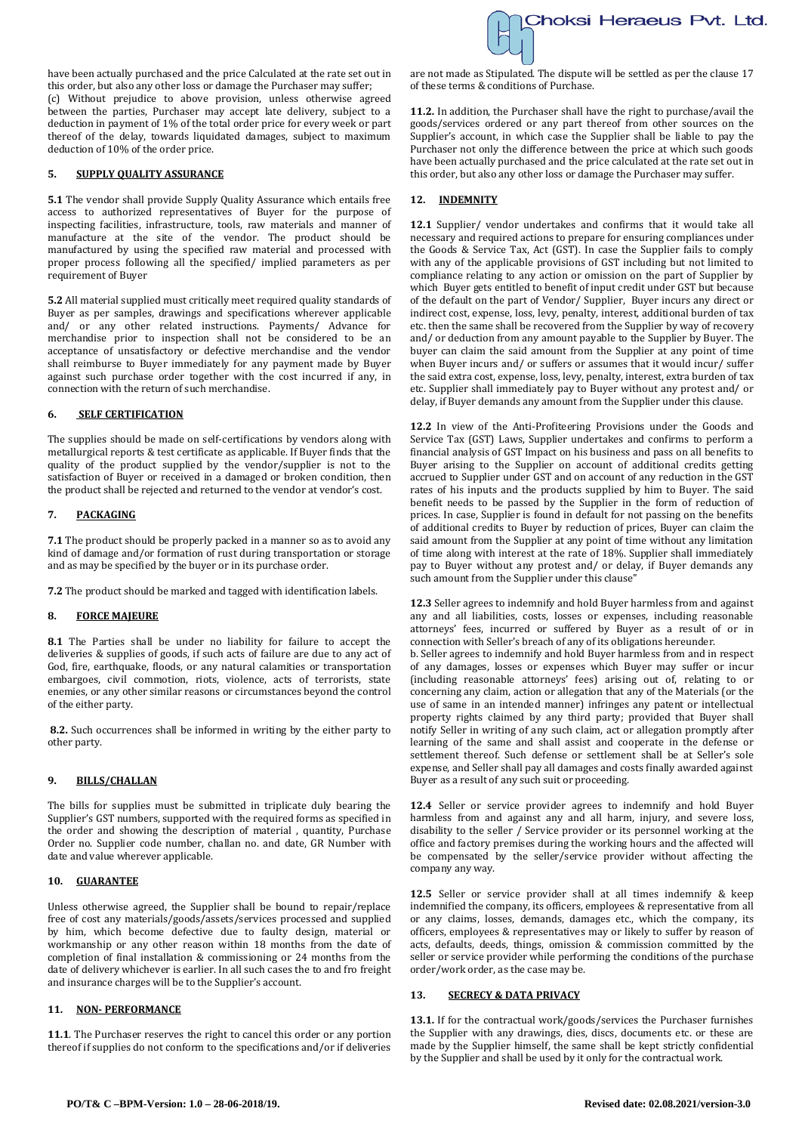have been actually purchased and the price Calculated at the rate set out in this order, but also any other loss or damage the Purchaser may suffer; (c) Without prejudice to above provision, unless otherwise agreed between the parties, Purchaser may accept late delivery, subject to a deduction in payment of 1% of the total order price for every week or part thereof of the delay, towards liquidated damages, subject to maximum deduction of 10% of the order price.

## **5. SUPPLY QUALITY ASSURANCE**

**5.1** The vendor shall provide Supply Quality Assurance which entails free access to authorized representatives of Buyer for the purpose of inspecting facilities, infrastructure, tools, raw materials and manner of manufacture at the site of the vendor. The product should be manufactured by using the specified raw material and processed with proper process following all the specified/ implied parameters as per requirement of Buyer

**5.2** All material supplied must critically meet required quality standards of Buyer as per samples, drawings and specifications wherever applicable and/ or any other related instructions. Payments/ Advance for merchandise prior to inspection shall not be considered to be an acceptance of unsatisfactory or defective merchandise and the vendor shall reimburse to Buyer immediately for any payment made by Buyer against such purchase order together with the cost incurred if any, in connection with the return of such merchandise.

### **6. SELF CERTIFICATION**

The supplies should be made on self-certifications by vendors along with metallurgical reports & test certificate as applicable. If Buyer finds that the quality of the product supplied by the vendor/supplier is not to the satisfaction of Buyer or received in a damaged or broken condition, then the product shall be rejected and returned to the vendor at vendor's cost.

## **7. PACKAGING**

**7.1** The product should be properly packed in a manner so as to avoid any kind of damage and/or formation of rust during transportation or storage and as may be specified by the buyer or in its purchase order.

**7.2** The product should be marked and tagged with identification labels.

### **8. FORCE MAJEURE**

**8.1** The Parties shall be under no liability for failure to accept the deliveries & supplies of goods, if such acts of failure are due to any act of God, fire, earthquake, floods, or any natural calamities or transportation embargoes, civil commotion, riots, violence, acts of terrorists, state enemies, or any other similar reasons or circumstances beyond the control of the either party.

**8.2.** Such occurrences shall be informed in writing by the either party to other party.

#### **9. BILLS/CHALLAN**

The bills for supplies must be submitted in triplicate duly bearing the Supplier's GST numbers, supported with the required forms as specified in the order and showing the description of material , quantity, Purchase Order no. Supplier code number, challan no. and date, GR Number with date and value wherever applicable.

## **10. GUARANTEE**

Unless otherwise agreed, the Supplier shall be bound to repair/replace free of cost any materials/goods/assets/services processed and supplied by him, which become defective due to faulty design, material or workmanship or any other reason within 18 months from the date of completion of final installation & commissioning or 24 months from the date of delivery whichever is earlier. In all such cases the to and fro freight and insurance charges will be to the Supplier's account.

# **11. NON- PERFORMANCE**

**11.1**. The Purchaser reserves the right to cancel this order or any portion thereof if supplies do not conform to the specifications and/or if deliveries



are not made as Stipulated. The dispute will be settled as per the clause 17 of these terms & conditions of Purchase.

**11.2.** In addition, the Purchaser shall have the right to purchase/avail the goods/services ordered or any part thereof from other sources on the Supplier's account, in which case the Supplier shall be liable to pay the Purchaser not only the difference between the price at which such goods have been actually purchased and the price calculated at the rate set out in this order, but also any other loss or damage the Purchaser may suffer.

#### **12. INDEMNITY**

**12.1** Supplier/ vendor undertakes and confirms that it would take all necessary and required actions to prepare for ensuring compliances under the Goods & Service Tax, Act (GST). In case the Supplier fails to comply with any of the applicable provisions of GST including but not limited to compliance relating to any action or omission on the part of Supplier by which Buyer gets entitled to benefit of input credit under GST but because of the default on the part of Vendor/ Supplier, Buyer incurs any direct or indirect cost, expense, loss, levy, penalty, interest, additional burden of tax etc. then the same shall be recovered from the Supplier by way of recovery and/ or deduction from any amount payable to the Supplier by Buyer. The buyer can claim the said amount from the Supplier at any point of time when Buyer incurs and/ or suffers or assumes that it would incur/ suffer the said extra cost, expense, loss, levy, penalty, interest, extra burden of tax etc. Supplier shall immediately pay to Buyer without any protest and/ or delay, if Buyer demands any amount from the Supplier under this clause.

**12.2** In view of the Anti-Profiteering Provisions under the Goods and Service Tax (GST) Laws, Supplier undertakes and confirms to perform a financial analysis of GST Impact on his business and pass on all benefits to Buyer arising to the Supplier on account of additional credits getting accrued to Supplier under GST and on account of any reduction in the GST rates of his inputs and the products supplied by him to Buyer. The said benefit needs to be passed by the Supplier in the form of reduction of prices. In case, Supplier is found in default for not passing on the benefits of additional credits to Buyer by reduction of prices, Buyer can claim the said amount from the Supplier at any point of time without any limitation of time along with interest at the rate of 18%. Supplier shall immediately pay to Buyer without any protest and/ or delay, if Buyer demands any such amount from the Supplier under this clause"

**12.3** Seller agrees to indemnify and hold Buyer harmless from and against any and all liabilities, costs, losses or expenses, including reasonable attorneys' fees, incurred or suffered by Buyer as a result of or in connection with Seller's breach of any of its obligations hereunder.

b. Seller agrees to indemnify and hold Buyer harmless from and in respect of any damages, losses or expenses which Buyer may suffer or incur (including reasonable attorneys' fees) arising out of, relating to or concerning any claim, action or allegation that any of the Materials (or the use of same in an intended manner) infringes any patent or intellectual property rights claimed by any third party; provided that Buyer shall notify Seller in writing of any such claim, act or allegation promptly after learning of the same and shall assist and cooperate in the defense or settlement thereof. Such defense or settlement shall be at Seller's sole expense, and Seller shall pay all damages and costs finally awarded against Buyer as a result of any such suit or proceeding.

**12.4** Seller or service provider agrees to indemnify and hold Buyer harmless from and against any and all harm, injury, and severe loss, disability to the seller / Service provider or its personnel working at the office and factory premises during the working hours and the affected will be compensated by the seller/service provider without affecting the company any way.

**12.5** Seller or service provider shall at all times indemnify & keep indemnified the company, its officers, employees & representative from all or any claims, losses, demands, damages etc., which the company, its officers, employees & representatives may or likely to suffer by reason of acts, defaults, deeds, things, omission & commission committed by the seller or service provider while performing the conditions of the purchase order/work order, as the case may be.

#### **13. SECRECY & DATA PRIVACY**

**13.1.** If for the contractual work/goods/services the Purchaser furnishes the Supplier with any drawings, dies, discs, documents etc. or these are made by the Supplier himself, the same shall be kept strictly confidential by the Supplier and shall be used by it only for the contractual work.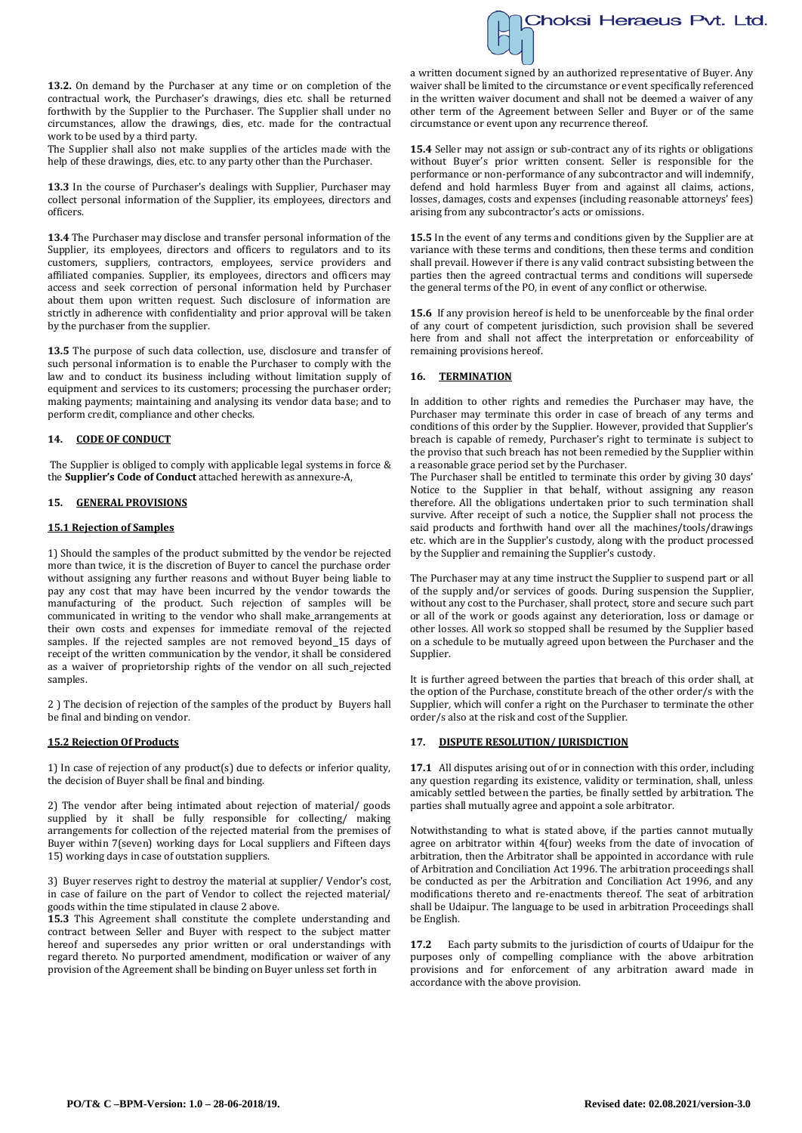

**13.2.** On demand by the Purchaser at any time or on completion of the contractual work, the Purchaser's drawings, dies etc. shall be returned forthwith by the Supplier to the Purchaser. The Supplier shall under no circumstances, allow the drawings, dies, etc. made for the contractual work to be used by a third party.

The Supplier shall also not make supplies of the articles made with the help of these drawings, dies, etc. to any party other than the Purchaser.

**13.3** In the course of Purchaser's dealings with Supplier, Purchaser may collect personal information of the Supplier, its employees, directors and officers.

**13.4** The Purchaser may disclose and transfer personal information of the Supplier, its employees, directors and officers to regulators and to its customers, suppliers, contractors, employees, service providers and affiliated companies. Supplier, its employees, directors and officers may access and seek correction of personal information held by Purchaser about them upon written request. Such disclosure of information are strictly in adherence with confidentiality and prior approval will be taken by the purchaser from the supplier.

**13.5** The purpose of such data collection, use, disclosure and transfer of such personal information is to enable the Purchaser to comply with the law and to conduct its business including without limitation supply of equipment and services to its customers; processing the purchaser order; making payments; maintaining and analysing its vendor data base; and to perform credit, compliance and other checks.

## **14. CODE OF CONDUCT**

The Supplier is obliged to comply with applicable legal systems in force & the **Supplier's Code of Conduct** attached herewith as annexure-A,

### **15. GENERAL PROVISIONS**

### **15.1 Rejection of Samples**

1) Should the samples of the product submitted by the vendor be rejected more than twice, it is the discretion of Buyer to cancel the purchase order without assigning any further reasons and without Buyer being liable to pay any cost that may have been incurred by the vendor towards the manufacturing of the product. Such rejection of samples will be communicated in writing to the vendor who shall make arrangements at their own costs and expenses for immediate removal of the rejected samples. If the rejected samples are not removed beyond\_15 days of receipt of the written communication by the vendor, it shall be considered as a waiver of proprietorship rights of the vendor on all such rejected samples.

2 ) The decision of rejection of the samples of the product by Buyers hall be final and binding on vendor.

#### **15.2 Rejection Of Products**

1) In case of rejection of any product(s) due to defects or inferior quality, the decision of Buyer shall be final and binding.

2) The vendor after being intimated about rejection of material/ goods supplied by it shall be fully responsible for collecting/ making arrangements for collection of the rejected material from the premises of Buyer within 7(seven) working days for Local suppliers and Fifteen days 15) working days in case of outstation suppliers.

3) Buyer reserves right to destroy the material at supplier/ Vendor's cost, in case of failure on the part of Vendor to collect the rejected material/ goods within the time stipulated in clause 2 above.

**15.3** This Agreement shall constitute the complete understanding and contract between Seller and Buyer with respect to the subject matter hereof and supersedes any prior written or oral understandings with regard thereto. No purported amendment, modification or waiver of any provision of the Agreement shall be binding on Buyer unless set forth in

a written document signed by an authorized representative of Buyer. Any waiver shall be limited to the circumstance or event specifically referenced in the written waiver document and shall not be deemed a waiver of any other term of the Agreement between Seller and Buyer or of the same circumstance or event upon any recurrence thereof.

**15.4** Seller may not assign or sub-contract any of its rights or obligations without Buyer's prior written consent. Seller is responsible for the performance or non-performance of any subcontractor and will indemnify, defend and hold harmless Buyer from and against all claims, actions, losses, damages, costs and expenses (including reasonable attorneys' fees) arising from any subcontractor's acts or omissions.

**15.5** In the event of any terms and conditions given by the Supplier are at variance with these terms and conditions, then these terms and condition shall prevail. However if there is any valid contract subsisting between the parties then the agreed contractual terms and conditions will supersede the general terms of the PO, in event of any conflict or otherwise.

**15.6** If any provision hereof is held to be unenforceable by the final order of any court of competent jurisdiction, such provision shall be severed here from and shall not affect the interpretation or enforceability of remaining provisions hereof.

### **16. TERMINATION**

In addition to other rights and remedies the Purchaser may have, the Purchaser may terminate this order in case of breach of any terms and conditions of this order by the Supplier. However, provided that Supplier's breach is capable of remedy, Purchaser's right to terminate is subject to the proviso that such breach has not been remedied by the Supplier within a reasonable grace period set by the Purchaser.

The Purchaser shall be entitled to terminate this order by giving 30 days' Notice to the Supplier in that behalf, without assigning any reason therefore. All the obligations undertaken prior to such termination shall survive. After receipt of such a notice, the Supplier shall not process the said products and forthwith hand over all the machines/tools/drawings etc. which are in the Supplier's custody, along with the product processed by the Supplier and remaining the Supplier's custody.

The Purchaser may at any time instruct the Supplier to suspend part or all of the supply and/or services of goods. During suspension the Supplier, without any cost to the Purchaser, shall protect, store and secure such part or all of the work or goods against any deterioration, loss or damage or other losses. All work so stopped shall be resumed by the Supplier based on a schedule to be mutually agreed upon between the Purchaser and the Supplier.

It is further agreed between the parties that breach of this order shall, at the option of the Purchase, constitute breach of the other order/s with the Supplier*,* which will confer a right on the Purchaser to terminate the other order/s also at the risk and cost of the Supplier.

## **17. DISPUTE RESOLUTION/ JURISDICTION**

**17.1** All disputes arising out of or in connection with this order, including any question regarding its existence, validity or termination, shall, unless amicably settled between the parties, be finally settled by arbitration. The parties shall mutually agree and appoint a sole arbitrator.

Notwithstanding to what is stated above, if the parties cannot mutually agree on arbitrator within 4(four) weeks from the date of invocation of arbitration, then the Arbitrator shall be appointed in accordance with rule of Arbitration and Conciliation Act 1996. The arbitration proceedings shall be conducted as per the Arbitration and Conciliation Act 1996, and any modifications thereto and re-enactments thereof. The seat of arbitration shall be Udaipur. The language to be used in arbitration Proceedings shall be English.

**17.2** Each party submits to the jurisdiction of courts of Udaipur for the purposes only of compelling compliance with the above arbitration provisions and for enforcement of any arbitration award made in accordance with the above provision.